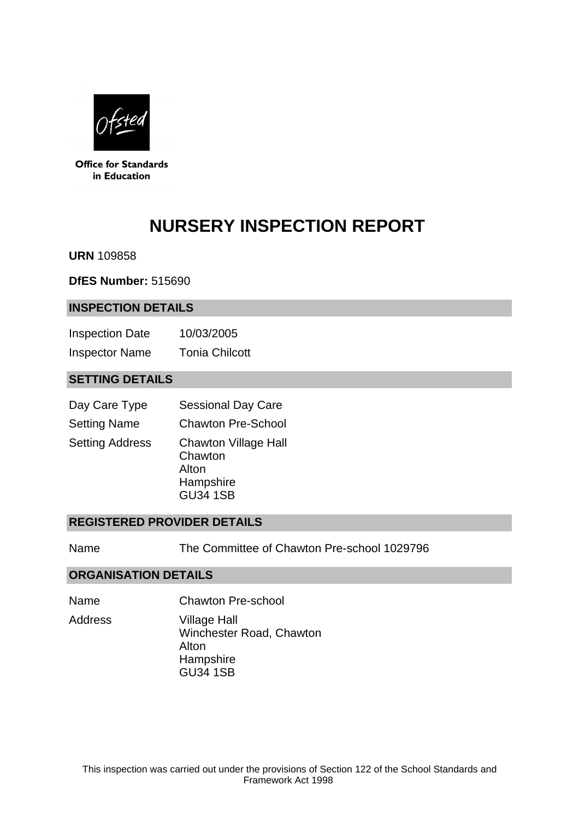

**Office for Standards** in Education

# **NURSERY INSPECTION REPORT**

**URN** 109858

**DfES Number:** 515690

#### **INSPECTION DETAILS**

Inspection Date 10/03/2005 Inspector Name Tonia Chilcott

## **SETTING DETAILS**

| Day Care Type          | <b>Sessional Day Care</b>                                                       |
|------------------------|---------------------------------------------------------------------------------|
| <b>Setting Name</b>    | <b>Chawton Pre-School</b>                                                       |
| <b>Setting Address</b> | <b>Chawton Village Hall</b><br>Chawton<br>Alton<br>Hampshire<br><b>GU34 1SB</b> |

#### **REGISTERED PROVIDER DETAILS**

Name The Committee of Chawton Pre-school 1029796

#### **ORGANISATION DETAILS**

Name Chawton Pre-school

Address Village Hall Winchester Road, Chawton Alton **Hampshire** GU34 1SB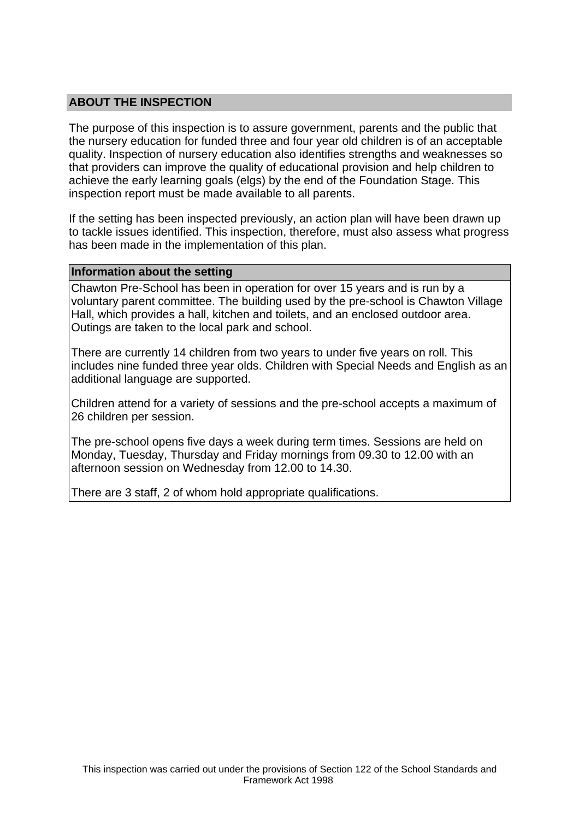## **ABOUT THE INSPECTION**

The purpose of this inspection is to assure government, parents and the public that the nursery education for funded three and four year old children is of an acceptable quality. Inspection of nursery education also identifies strengths and weaknesses so that providers can improve the quality of educational provision and help children to achieve the early learning goals (elgs) by the end of the Foundation Stage. This inspection report must be made available to all parents.

If the setting has been inspected previously, an action plan will have been drawn up to tackle issues identified. This inspection, therefore, must also assess what progress has been made in the implementation of this plan.

#### **Information about the setting**

Chawton Pre-School has been in operation for over 15 years and is run by a voluntary parent committee. The building used by the pre-school is Chawton Village Hall, which provides a hall, kitchen and toilets, and an enclosed outdoor area. Outings are taken to the local park and school.

There are currently 14 children from two years to under five years on roll. This includes nine funded three year olds. Children with Special Needs and English as an additional language are supported.

Children attend for a variety of sessions and the pre-school accepts a maximum of 26 children per session.

The pre-school opens five days a week during term times. Sessions are held on Monday, Tuesday, Thursday and Friday mornings from 09.30 to 12.00 with an afternoon session on Wednesday from 12.00 to 14.30.

There are 3 staff, 2 of whom hold appropriate qualifications.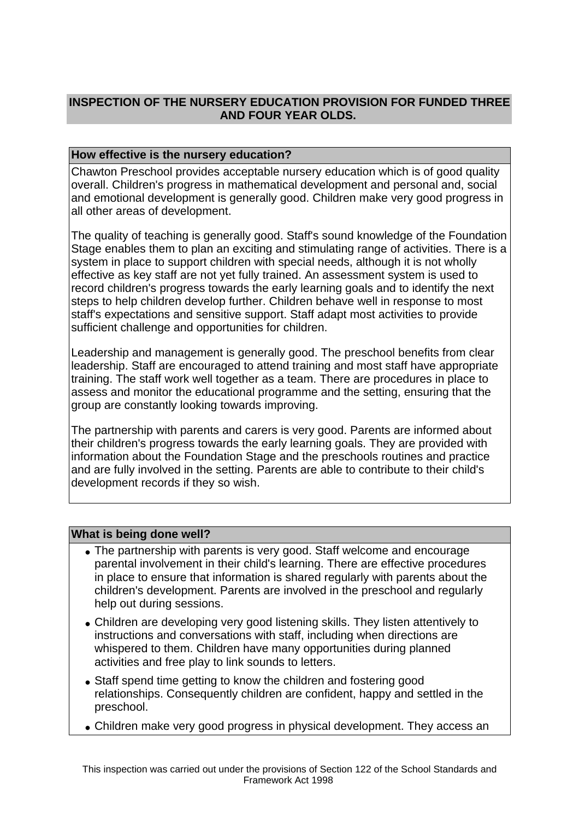# **INSPECTION OF THE NURSERY EDUCATION PROVISION FOR FUNDED THREE AND FOUR YEAR OLDS.**

## **How effective is the nursery education?**

Chawton Preschool provides acceptable nursery education which is of good quality overall. Children's progress in mathematical development and personal and, social and emotional development is generally good. Children make very good progress in all other areas of development.

The quality of teaching is generally good. Staff's sound knowledge of the Foundation Stage enables them to plan an exciting and stimulating range of activities. There is a system in place to support children with special needs, although it is not wholly effective as key staff are not yet fully trained. An assessment system is used to record children's progress towards the early learning goals and to identify the next steps to help children develop further. Children behave well in response to most staff's expectations and sensitive support. Staff adapt most activities to provide sufficient challenge and opportunities for children.

Leadership and management is generally good. The preschool benefits from clear leadership. Staff are encouraged to attend training and most staff have appropriate training. The staff work well together as a team. There are procedures in place to assess and monitor the educational programme and the setting, ensuring that the group are constantly looking towards improving.

The partnership with parents and carers is very good. Parents are informed about their children's progress towards the early learning goals. They are provided with information about the Foundation Stage and the preschools routines and practice and are fully involved in the setting. Parents are able to contribute to their child's development records if they so wish.

### **What is being done well?**

- The partnership with parents is very good. Staff welcome and encourage parental involvement in their child's learning. There are effective procedures in place to ensure that information is shared regularly with parents about the children's development. Parents are involved in the preschool and regularly help out during sessions.
- Children are developing very good listening skills. They listen attentively to instructions and conversations with staff, including when directions are whispered to them. Children have many opportunities during planned activities and free play to link sounds to letters.
- Staff spend time getting to know the children and fostering good relationships. Consequently children are confident, happy and settled in the preschool.
- Children make very good progress in physical development. They access an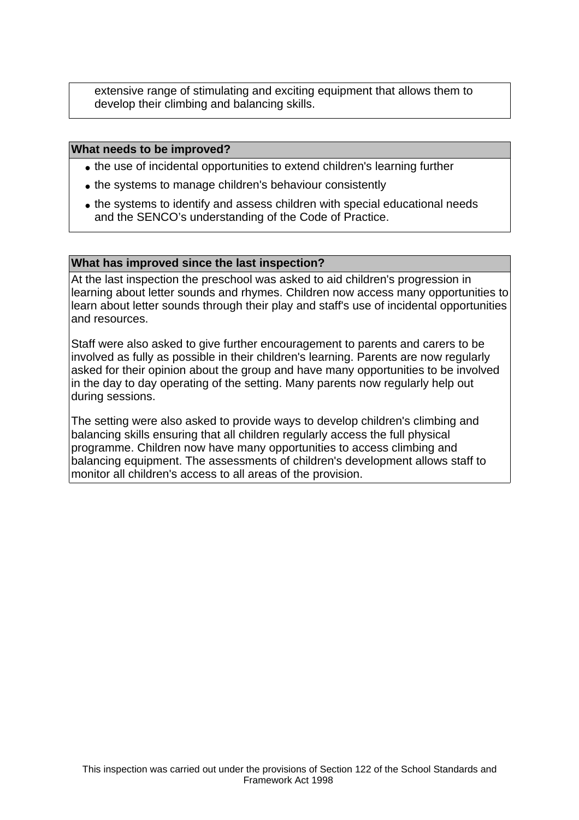extensive range of stimulating and exciting equipment that allows them to develop their climbing and balancing skills.

#### **What needs to be improved?**

- the use of incidental opportunities to extend children's learning further
- the systems to manage children's behaviour consistently
- the systems to identify and assess children with special educational needs and the SENCO's understanding of the Code of Practice.

#### **What has improved since the last inspection?**

At the last inspection the preschool was asked to aid children's progression in learning about letter sounds and rhymes. Children now access many opportunities to learn about letter sounds through their play and staff's use of incidental opportunities and resources.

Staff were also asked to give further encouragement to parents and carers to be involved as fully as possible in their children's learning. Parents are now regularly asked for their opinion about the group and have many opportunities to be involved in the day to day operating of the setting. Many parents now regularly help out during sessions.

The setting were also asked to provide ways to develop children's climbing and balancing skills ensuring that all children regularly access the full physical programme. Children now have many opportunities to access climbing and balancing equipment. The assessments of children's development allows staff to monitor all children's access to all areas of the provision.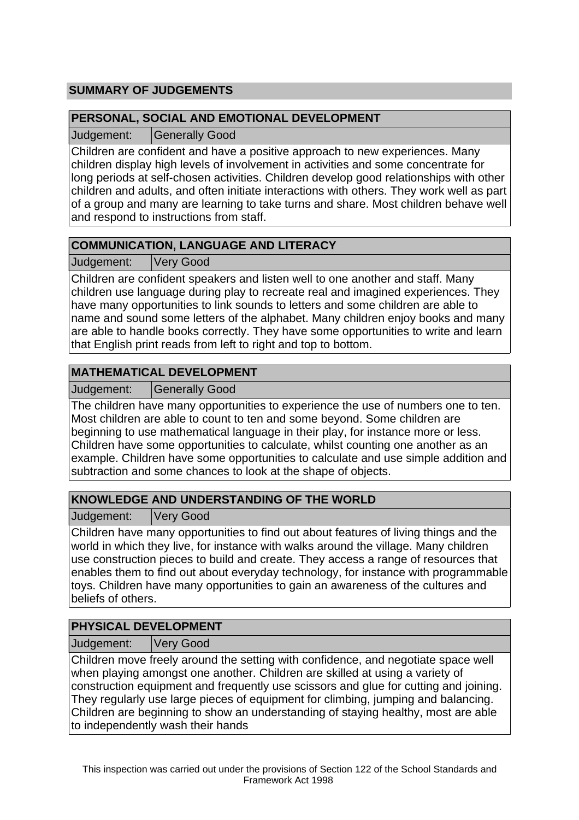# **SUMMARY OF JUDGEMENTS**

## **PERSONAL, SOCIAL AND EMOTIONAL DEVELOPMENT**

Judgement: Generally Good

Children are confident and have a positive approach to new experiences. Many children display high levels of involvement in activities and some concentrate for long periods at self-chosen activities. Children develop good relationships with other children and adults, and often initiate interactions with others. They work well as part of a group and many are learning to take turns and share. Most children behave well and respond to instructions from staff.

# **COMMUNICATION, LANGUAGE AND LITERACY**

Judgement: Very Good

Children are confident speakers and listen well to one another and staff. Many children use language during play to recreate real and imagined experiences. They have many opportunities to link sounds to letters and some children are able to name and sound some letters of the alphabet. Many children enjoy books and many are able to handle books correctly. They have some opportunities to write and learn that English print reads from left to right and top to bottom.

# **MATHEMATICAL DEVELOPMENT**

Judgement: | Generally Good

The children have many opportunities to experience the use of numbers one to ten. Most children are able to count to ten and some beyond. Some children are beginning to use mathematical language in their play, for instance more or less. Children have some opportunities to calculate, whilst counting one another as an example. Children have some opportunities to calculate and use simple addition and subtraction and some chances to look at the shape of objects.

# **KNOWLEDGE AND UNDERSTANDING OF THE WORLD**

Judgement: Very Good

Children have many opportunities to find out about features of living things and the world in which they live, for instance with walks around the village. Many children use construction pieces to build and create. They access a range of resources that enables them to find out about everyday technology, for instance with programmable toys. Children have many opportunities to gain an awareness of the cultures and beliefs of others.

# **PHYSICAL DEVELOPMENT**

Judgement: Very Good

Children move freely around the setting with confidence, and negotiate space well when playing amongst one another. Children are skilled at using a variety of construction equipment and frequently use scissors and glue for cutting and joining. They regularly use large pieces of equipment for climbing, jumping and balancing. Children are beginning to show an understanding of staying healthy, most are able to independently wash their hands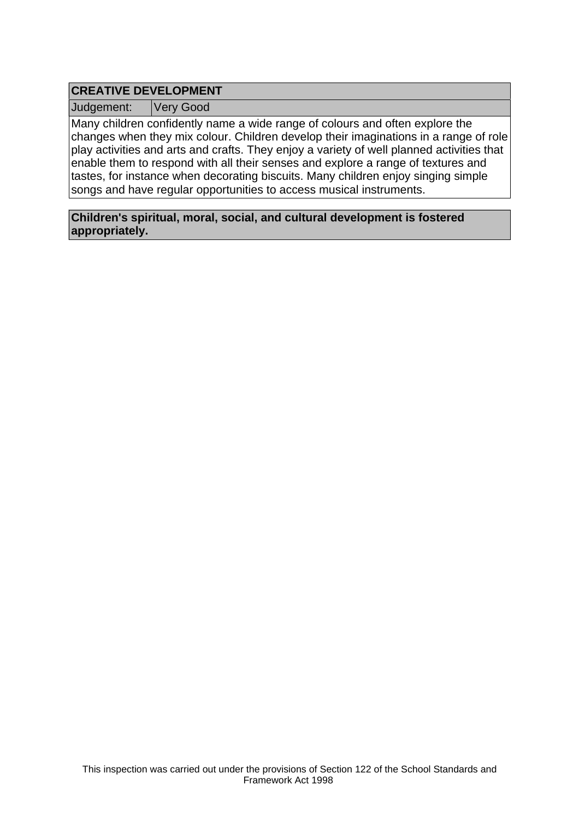# **CREATIVE DEVELOPMENT**

Judgement: Very Good

Many children confidently name a wide range of colours and often explore the changes when they mix colour. Children develop their imaginations in a range of role play activities and arts and crafts. They enjoy a variety of well planned activities that enable them to respond with all their senses and explore a range of textures and tastes, for instance when decorating biscuits. Many children enjoy singing simple songs and have regular opportunities to access musical instruments.

**Children's spiritual, moral, social, and cultural development is fostered appropriately.**